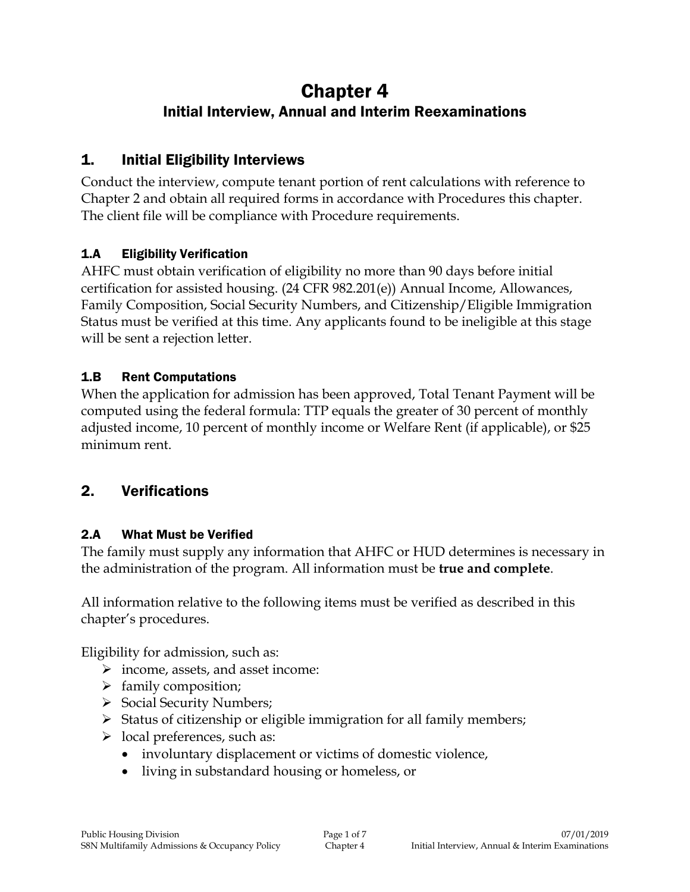# Chapter 4 Initial Interview, Annual and Interim Reexaminations

## 1. Initial Eligibility Interviews

Conduct the interview, compute tenant portion of rent calculations with reference to Chapter 2 and obtain all required forms in accordance with Procedures this chapter. The client file will be compliance with Procedure requirements.

### 1.A Eligibility Verification

AHFC must obtain verification of eligibility no more than 90 days before initial certification for assisted housing. (24 CFR 982.201(e)) Annual Income, Allowances, Family Composition, Social Security Numbers, and Citizenship/Eligible Immigration Status must be verified at this time. Any applicants found to be ineligible at this stage will be sent a rejection letter.

#### 1.B Rent Computations

When the application for admission has been approved, Total Tenant Payment will be computed using the federal formula: TTP equals the greater of 30 percent of monthly adjusted income, 10 percent of monthly income or Welfare Rent (if applicable), or \$25 minimum rent.

## 2. Verifications

### 2.A What Must be Verified

The family must supply any information that AHFC or HUD determines is necessary in the administration of the program. All information must be **true and complete**.

All information relative to the following items must be verified as described in this chapter's procedures.

Eligibility for admission, such as:

- $\triangleright$  income, assets, and asset income:
- $\triangleright$  family composition;
- $\triangleright$  Social Security Numbers;
- $\triangleright$  Status of citizenship or eligible immigration for all family members;
- $\triangleright$  local preferences, such as:
	- involuntary displacement or victims of domestic violence,
	- living in substandard housing or homeless, or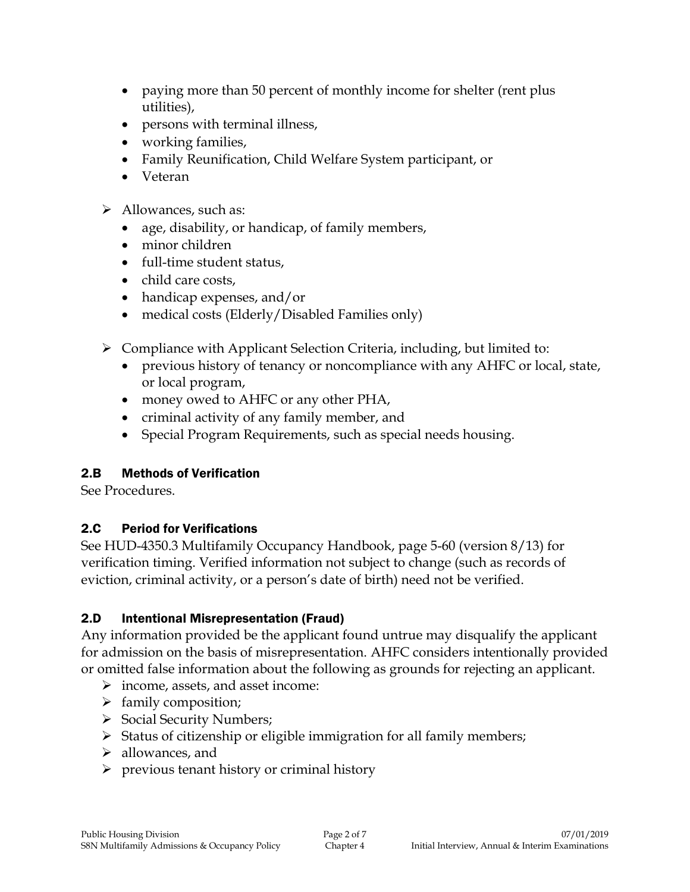- paying more than 50 percent of monthly income for shelter (rent plus utilities),
- persons with terminal illness,
- working families,
- Family Reunification, Child Welfare System participant, or
- Veteran
- > Allowances, such as:
	- age, disability, or handicap, of family members,
	- minor children
	- full-time student status,
	- child care costs,
	- handicap expenses, and/or
	- medical costs (Elderly/Disabled Families only)
- $\triangleright$  Compliance with Applicant Selection Criteria, including, but limited to:
	- previous history of tenancy or noncompliance with any AHFC or local, state, or local program,
	- money owed to AHFC or any other PHA,
	- criminal activity of any family member, and
	- Special Program Requirements, such as special needs housing.

#### 2.B Methods of Verification

See Procedures.

#### 2.C Period for Verifications

See HUD-4350.3 Multifamily Occupancy Handbook, page 5-60 (version 8/13) for verification timing. Verified information not subject to change (such as records of eviction, criminal activity, or a person's date of birth) need not be verified.

#### 2.D Intentional Misrepresentation (Fraud)

Any information provided be the applicant found untrue may disqualify the applicant for admission on the basis of misrepresentation. AHFC considers intentionally provided or omitted false information about the following as grounds for rejecting an applicant.

- $\triangleright$  income, assets, and asset income:
- $\triangleright$  family composition;
- $\triangleright$  Social Security Numbers;
- $\triangleright$  Status of citizenship or eligible immigration for all family members;
- $\triangleright$  allowances, and
- $\triangleright$  previous tenant history or criminal history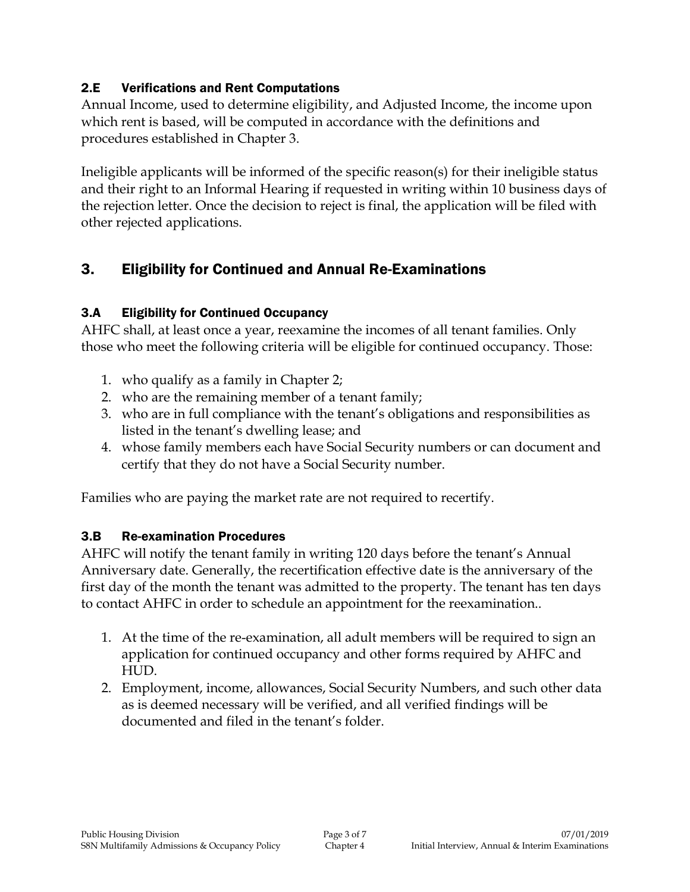#### 2.E Verifications and Rent Computations

Annual Income, used to determine eligibility, and Adjusted Income, the income upon which rent is based, will be computed in accordance with the definitions and procedures established in Chapter 3.

Ineligible applicants will be informed of the specific reason(s) for their ineligible status and their right to an Informal Hearing if requested in writing within 10 business days of the rejection letter. Once the decision to reject is final, the application will be filed with other rejected applications.

## 3. Eligibility for Continued and Annual Re-Examinations

## 3.A Eligibility for Continued Occupancy

AHFC shall, at least once a year, reexamine the incomes of all tenant families. Only those who meet the following criteria will be eligible for continued occupancy. Those:

- 1. who qualify as a family in Chapter 2;
- 2. who are the remaining member of a tenant family;
- 3. who are in full compliance with the tenant's obligations and responsibilities as listed in the tenant's dwelling lease; and
- 4. whose family members each have Social Security numbers or can document and certify that they do not have a Social Security number.

Families who are paying the market rate are not required to recertify.

### 3.B Re-examination Procedures

AHFC will notify the tenant family in writing 120 days before the tenant's Annual Anniversary date. Generally, the recertification effective date is the anniversary of the first day of the month the tenant was admitted to the property. The tenant has ten days to contact AHFC in order to schedule an appointment for the reexamination..

- 1. At the time of the re-examination, all adult members will be required to sign an application for continued occupancy and other forms required by AHFC and HUD.
- 2. Employment, income, allowances, Social Security Numbers, and such other data as is deemed necessary will be verified, and all verified findings will be documented and filed in the tenant's folder.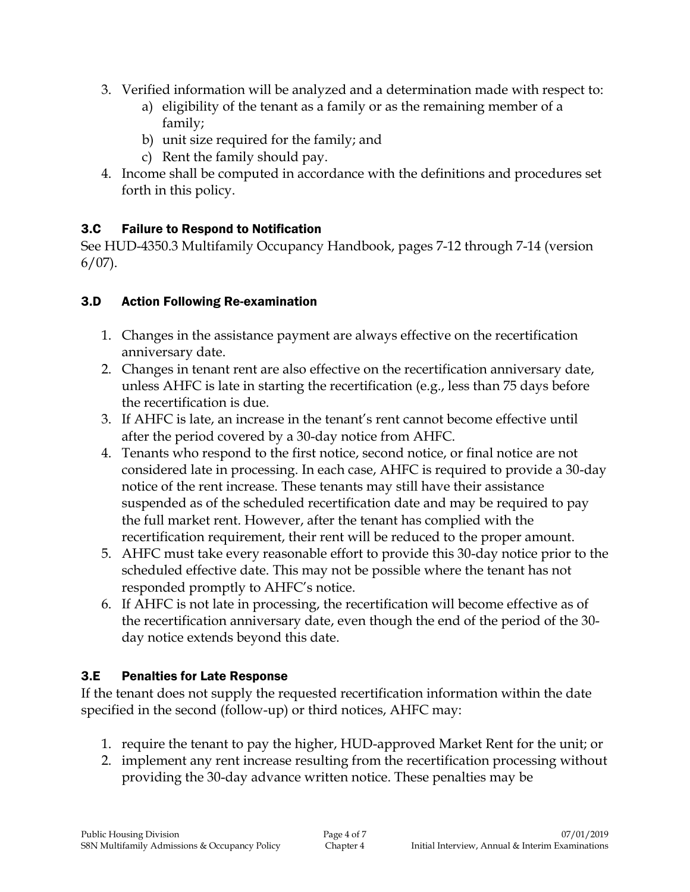- 3. Verified information will be analyzed and a determination made with respect to:
	- a) eligibility of the tenant as a family or as the remaining member of a family;
	- b) unit size required for the family; and
	- c) Rent the family should pay.
- 4. Income shall be computed in accordance with the definitions and procedures set forth in this policy.

## 3.C Failure to Respond to Notification

See HUD-4350.3 Multifamily Occupancy Handbook, pages 7-12 through 7-14 (version  $6/07$ ).

#### 3.D Action Following Re-examination

- 1. Changes in the assistance payment are always effective on the recertification anniversary date.
- 2. Changes in tenant rent are also effective on the recertification anniversary date, unless AHFC is late in starting the recertification (e.g., less than 75 days before the recertification is due.
- 3. If AHFC is late, an increase in the tenant's rent cannot become effective until after the period covered by a 30-day notice from AHFC.
- 4. Tenants who respond to the first notice, second notice, or final notice are not considered late in processing. In each case, AHFC is required to provide a 30-day notice of the rent increase. These tenants may still have their assistance suspended as of the scheduled recertification date and may be required to pay the full market rent. However, after the tenant has complied with the recertification requirement, their rent will be reduced to the proper amount.
- 5. AHFC must take every reasonable effort to provide this 30-day notice prior to the scheduled effective date. This may not be possible where the tenant has not responded promptly to AHFC's notice.
- 6. If AHFC is not late in processing, the recertification will become effective as of the recertification anniversary date, even though the end of the period of the 30 day notice extends beyond this date.

### 3.E Penalties for Late Response

If the tenant does not supply the requested recertification information within the date specified in the second (follow-up) or third notices, AHFC may:

- 1. require the tenant to pay the higher, HUD-approved Market Rent for the unit; or
- 2. implement any rent increase resulting from the recertification processing without providing the 30-day advance written notice. These penalties may be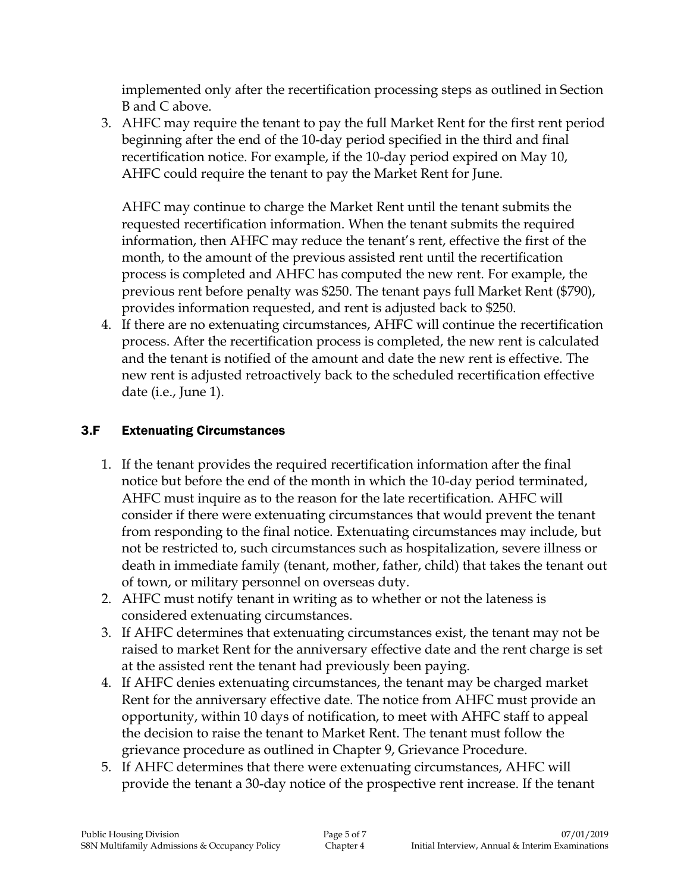implemented only after the recertification processing steps as outlined in Section B and C above.

3. AHFC may require the tenant to pay the full Market Rent for the first rent period beginning after the end of the 10-day period specified in the third and final recertification notice. For example, if the 10-day period expired on May 10, AHFC could require the tenant to pay the Market Rent for June.

AHFC may continue to charge the Market Rent until the tenant submits the requested recertification information. When the tenant submits the required information, then AHFC may reduce the tenant's rent, effective the first of the month, to the amount of the previous assisted rent until the recertification process is completed and AHFC has computed the new rent. For example, the previous rent before penalty was \$250. The tenant pays full Market Rent (\$790), provides information requested, and rent is adjusted back to \$250.

4. If there are no extenuating circumstances, AHFC will continue the recertification process. After the recertification process is completed, the new rent is calculated and the tenant is notified of the amount and date the new rent is effective. The new rent is adjusted retroactively back to the scheduled recertification effective date (i.e., June 1).

### 3.F Extenuating Circumstances

- 1. If the tenant provides the required recertification information after the final notice but before the end of the month in which the 10-day period terminated, AHFC must inquire as to the reason for the late recertification. AHFC will consider if there were extenuating circumstances that would prevent the tenant from responding to the final notice. Extenuating circumstances may include, but not be restricted to, such circumstances such as hospitalization, severe illness or death in immediate family (tenant, mother, father, child) that takes the tenant out of town, or military personnel on overseas duty.
- 2. AHFC must notify tenant in writing as to whether or not the lateness is considered extenuating circumstances.
- 3. If AHFC determines that extenuating circumstances exist, the tenant may not be raised to market Rent for the anniversary effective date and the rent charge is set at the assisted rent the tenant had previously been paying.
- 4. If AHFC denies extenuating circumstances, the tenant may be charged market Rent for the anniversary effective date. The notice from AHFC must provide an opportunity, within 10 days of notification, to meet with AHFC staff to appeal the decision to raise the tenant to Market Rent. The tenant must follow the grievance procedure as outlined in Chapter 9, Grievance Procedure.
- 5. If AHFC determines that there were extenuating circumstances, AHFC will provide the tenant a 30-day notice of the prospective rent increase. If the tenant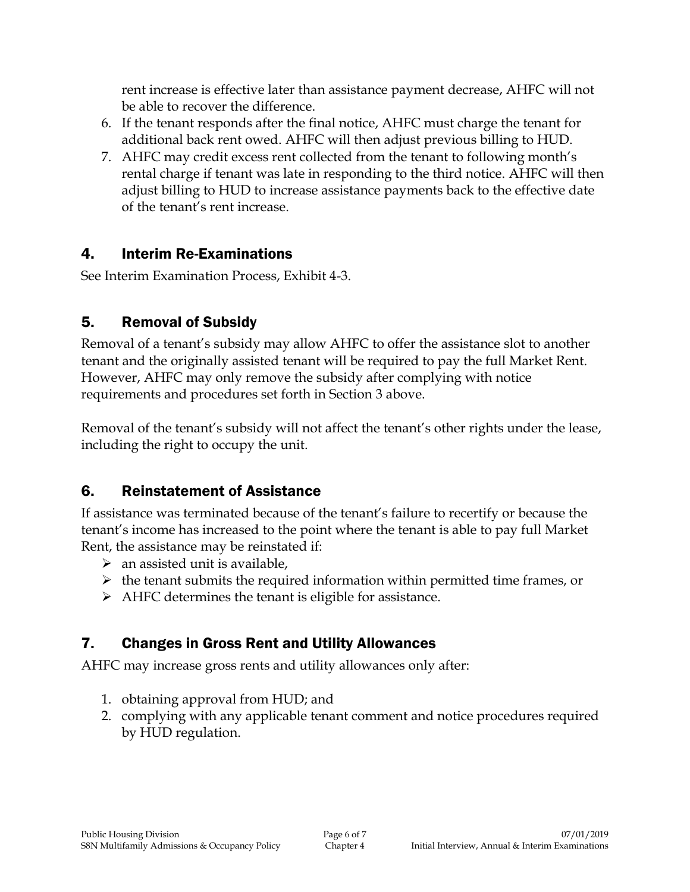rent increase is effective later than assistance payment decrease, AHFC will not be able to recover the difference.

- 6. If the tenant responds after the final notice, AHFC must charge the tenant for additional back rent owed. AHFC will then adjust previous billing to HUD.
- 7. AHFC may credit excess rent collected from the tenant to following month's rental charge if tenant was late in responding to the third notice. AHFC will then adjust billing to HUD to increase assistance payments back to the effective date of the tenant's rent increase.

## 4. Interim Re-Examinations

See Interim Examination Process, Exhibit 4-3.

## 5. Removal of Subsidy

Removal of a tenant's subsidy may allow AHFC to offer the assistance slot to another tenant and the originally assisted tenant will be required to pay the full Market Rent. However, AHFC may only remove the subsidy after complying with notice requirements and procedures set forth in Section 3 above.

Removal of the tenant's subsidy will not affect the tenant's other rights under the lease, including the right to occupy the unit.

## 6. Reinstatement of Assistance

If assistance was terminated because of the tenant's failure to recertify or because the tenant's income has increased to the point where the tenant is able to pay full Market Rent, the assistance may be reinstated if:

- $\triangleright$  an assisted unit is available,
- $\triangleright$  the tenant submits the required information within permitted time frames, or
- $\triangleright$  AHFC determines the tenant is eligible for assistance.

## 7. Changes in Gross Rent and Utility Allowances

AHFC may increase gross rents and utility allowances only after:

- 1. obtaining approval from HUD; and
- 2. complying with any applicable tenant comment and notice procedures required by HUD regulation.